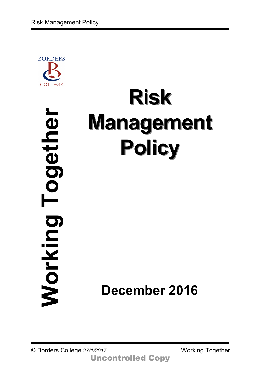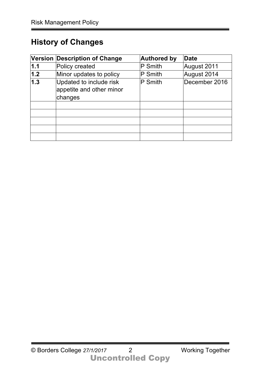# **History of Changes**

|       | Version Description of Change                                  | <b>Authored by</b> | <b>Date</b>   |
|-------|----------------------------------------------------------------|--------------------|---------------|
| 1.1   | Policy created                                                 | P Smith            | August 2011   |
| $1.2$ | Minor updates to policy                                        | P Smith            | August 2014   |
| 1.3   | Updated to include risk<br>appetite and other minor<br>changes | P Smith            | December 2016 |
|       |                                                                |                    |               |
|       |                                                                |                    |               |
|       |                                                                |                    |               |
|       |                                                                |                    |               |
|       |                                                                |                    |               |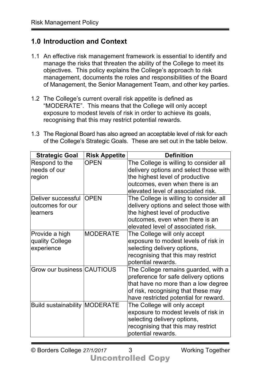## **1.0 Introduction and Context**

- 1.1 An effective risk management framework is essential to identify and manage the risks that threaten the ability of the College to meet its objectives. This policy explains the College's approach to risk management, documents the roles and responsibilities of the Board of Management, the Senior Management Team, and other key parties.
- 1.2 The College's current overall risk appetite is defined as "MODERATE". This means that the College will only accept exposure to modest levels of risk in order to achieve its goals, recognising that this may restrict potential rewards.
- 1.3 The Regional Board has also agreed an acceptable level of risk for each of the College's Strategic Goals. These are set out in the table below.

| <b>Strategic Goal</b>                | <b>Risk Appetite</b> | <b>Definition</b>                      |
|--------------------------------------|----------------------|----------------------------------------|
| Respond to the                       | <b>OPEN</b>          | The College is willing to consider all |
| needs of our                         |                      | delivery options and select those with |
| region                               |                      | the highest level of productive        |
|                                      |                      | outcomes, even when there is an        |
|                                      |                      | elevated level of associated risk.     |
| Deliver successful                   | <b>OPEN</b>          | The College is willing to consider all |
| outcomes for our                     |                      | delivery options and select those with |
| llearners                            |                      | the highest level of productive        |
|                                      |                      | outcomes, even when there is an        |
|                                      |                      | elevated level of associated risk.     |
| Provide a high                       | <b>MODERATE</b>      | The College will only accept           |
| quality College                      |                      | exposure to modest levels of risk in   |
| experience                           |                      | selecting delivery options,            |
|                                      |                      | recognising that this may restrict     |
|                                      |                      | potential rewards.                     |
| Grow our business CAUTIOUS           |                      | The College remains guarded, with a    |
|                                      |                      | preference for safe delivery options   |
|                                      |                      | that have no more than a low degree    |
|                                      |                      | of risk, recognising that these may    |
|                                      |                      | have restricted potential for reward.  |
| <b>Build sustainability MODERATE</b> |                      | The College will only accept           |
|                                      |                      | exposure to modest levels of risk in   |
|                                      |                      | selecting delivery options,            |
|                                      |                      | recognising that this may restrict     |
|                                      |                      | potential rewards.                     |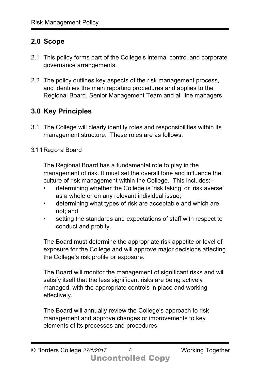## **2.0 Scope**

- 2.1 This policy forms part of the College's internal control and corporate governance arrangements.
- 2.2 The policy outlines key aspects of the risk management process, and identifies the main reporting procedures and applies to the Regional Board, Senior Management Team and all line managers.

## **3.0 Key Principles**

3.1 The College will clearly identify roles and responsibilities within its management structure. These roles are as follows:

#### 3.1.1Regional Board

The Regional Board has a fundamental role to play in the management of risk. It must set the overall tone and influence the culture of risk management within the College. This includes: -

- determining whether the College is 'risk taking' or 'risk averse' as a whole or on any relevant individual issue;
- determining what types of risk are acceptable and which are not; and
- setting the standards and expectations of staff with respect to conduct and probity.

The Board must determine the appropriate risk appetite or level of exposure for the College and will approve major decisions affecting the College's risk profile or exposure.

The Board will monitor the management of significant risks and will satisfy itself that the less significant risks are being actively managed, with the appropriate controls in place and working effectively.

The Board will annually review the College's approach to risk management and approve changes or improvements to key elements of its processes and procedures.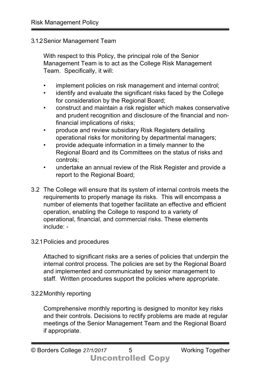#### 3.1.2Senior Management Team

With respect to this Policy, the principal role of the Senior Management Team is to act as the College Risk Management Team. Specifically, it will:

- implement policies on risk management and internal control;
- identify and evaluate the significant risks faced by the College for consideration by the Regional Board;
- construct and maintain a risk register which makes conservative and prudent recognition and disclosure of the financial and nonfinancial implications of risks;
- produce and review subsidiary Risk Registers detailing operational risks for monitoring by departmental managers;
- provide adequate information in a timely manner to the Regional Board and its Committees on the status of risks and controls;
- undertake an annual review of the Risk Register and provide a report to the Regional Board;
- 3.2 The College will ensure that its system of internal controls meets the requirements to properly manage its risks. This will encompass a number of elements that together facilitate an effective and efficient operation, enabling the College to respond to a variety of operational, financial, and commercial risks. These elements include: -

#### 3.2.1Policies and procedures

Attached to significant risks are a series of policies that underpin the internal control process. The policies are set by the Regional Board and implemented and communicated by senior management to staff. Written procedures support the policies where appropriate.

#### 3.2.2Monthly reporting

Comprehensive monthly reporting is designed to monitor key risks and their controls. Decisions to rectify problems are made at regular meetings of the Senior Management Team and the Regional Board if appropriate.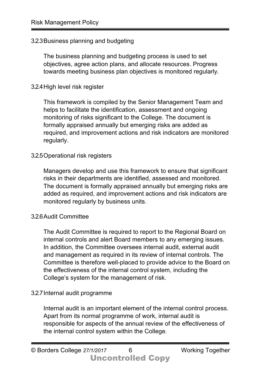#### 3.2.3Business planning and budgeting

The business planning and budgeting process is used to set objectives, agree action plans, and allocate resources. Progress towards meeting business plan objectives is monitored regularly.

#### 3.2.4High level risk register

This framework is compiled by the Senior Management Team and helps to facilitate the identification, assessment and ongoing monitoring of risks significant to the College. The document is formally appraised annually but emerging risks are added as required, and improvement actions and risk indicators are monitored regularly.

#### 3.2.5Operational risk registers

Managers develop and use this framework to ensure that significant risks in their departments are identified, assessed and monitored. The document is formally appraised annually but emerging risks are added as required, and improvement actions and risk indicators are monitored regularly by business units.

#### 3.2.6Audit Committee

The Audit Committee is required to report to the Regional Board on internal controls and alert Board members to any emerging issues. In addition, the Committee oversees internal audit, external audit and management as required in its review of internal controls. The Committee is therefore well-placed to provide advice to the Board on the effectiveness of the internal control system, including the College's system for the management of risk.

#### 3.2.7Internal audit programme

Internal audit is an important element of the internal control process. Apart from its normal programme of work, internal audit is responsible for aspects of the annual review of the effectiveness of the internal control system within the College.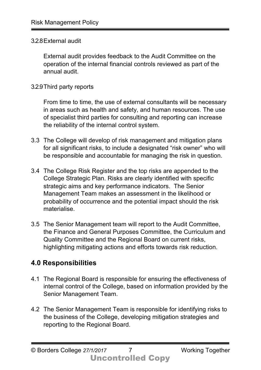#### 3.2.8External audit

External audit provides feedback to the Audit Committee on the operation of the internal financial controls reviewed as part of the annual audit.

#### 3.2.9Third party reports

From time to time, the use of external consultants will be necessary in areas such as health and safety, and human resources. The use of specialist third parties for consulting and reporting can increase the reliability of the internal control system.

- 3.3 The College will develop of risk management and mitigation plans for all significant risks, to include a designated "risk owner" who will be responsible and accountable for managing the risk in question.
- 3.4 The College Risk Register and the top risks are appended to the College Strategic Plan. Risks are clearly identified with specific strategic aims and key performance indicators. The Senior Management Team makes an assessment in the likelihood or probability of occurrence and the potential impact should the risk materialise.
- 3.5 The Senior Management team will report to the Audit Committee, the Finance and General Purposes Committee, the Curriculum and Quality Committee and the Regional Board on current risks, highlighting mitigating actions and efforts towards risk reduction.

## **4.0 Responsibilities**

- 4.1 The Regional Board is responsible for ensuring the effectiveness of internal control of the College, based on information provided by the Senior Management Team.
- 4.2 The Senior Management Team is responsible for identifying risks to the business of the College, developing mitigation strategies and reporting to the Regional Board.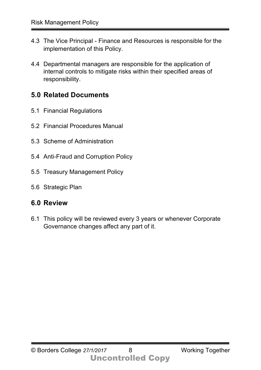- 4.3 The Vice Principal Finance and Resources is responsible for the implementation of this Policy.
- 4.4 Departmental managers are responsible for the application of internal controls to mitigate risks within their specified areas of responsibility.

### **5.0 Related Documents**

- 5.1 Financial Regulations
- 5.2 Financial Procedures Manual
- 5.3 Scheme of Administration
- 5.4 Anti-Fraud and Corruption Policy
- 5.5 Treasury Management Policy
- 5.6 Strategic Plan

### **6.0 Review**

6.1 This policy will be reviewed every 3 years or whenever Corporate Governance changes affect any part of it.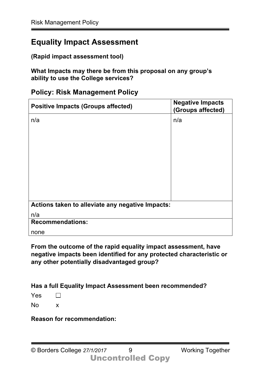## **Equality Impact Assessment**

**(Rapid impact assessment tool)**

**What Impacts may there be from this proposal on any group's ability to use the College services?** 

|  | <b>Policy: Risk Management Policy</b> |  |
|--|---------------------------------------|--|
|  |                                       |  |

| <b>Positive Impacts (Groups affected)</b>        | <b>Negative Impacts</b><br>(Groups affected) |  |
|--------------------------------------------------|----------------------------------------------|--|
| n/a                                              | n/a                                          |  |
|                                                  |                                              |  |
|                                                  |                                              |  |
|                                                  |                                              |  |
|                                                  |                                              |  |
|                                                  |                                              |  |
|                                                  |                                              |  |
| Actions taken to alleviate any negative Impacts: |                                              |  |
| n/a                                              |                                              |  |
| <b>Recommendations:</b>                          |                                              |  |
| none                                             |                                              |  |

**From the outcome of the rapid equality impact assessment, have negative impacts been identified for any protected characteristic or any other potentially disadvantaged group?** 

**Has a full Equality Impact Assessment been recommended?** 

Yes  $\Box$ 

No x

**Reason for recommendation:**